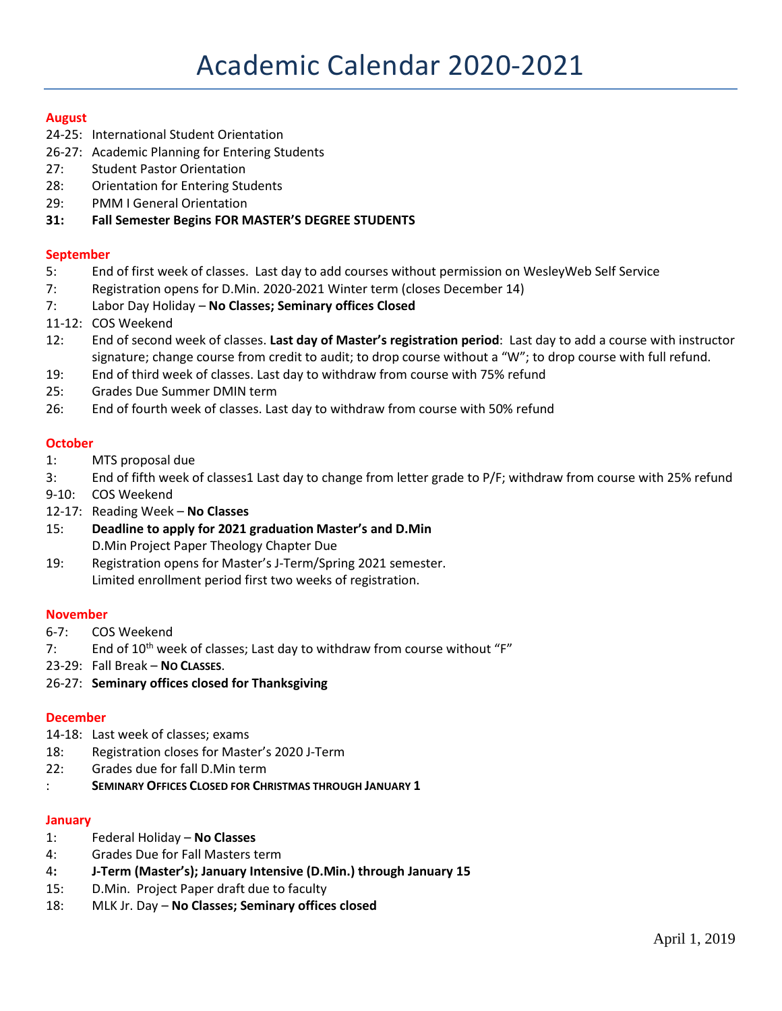## **August**

- 24-25: International Student Orientation
- 26-27: Academic Planning for Entering Students
- 27: Student Pastor Orientation
- 28: Orientation for Entering Students
- 29: PMM I General Orientation
- **31: Fall Semester Begins FOR MASTER'S DEGREE STUDENTS**

### **September**

- 5: End of first week of classes. Last day to add courses without permission on WesleyWeb Self Service
- 7: Registration opens for D.Min. 2020-2021 Winter term (closes December 14)
- 7: Labor Day Holiday **No Classes; Seminary offices Closed**
- 11-12: COS Weekend
- 12: End of second week of classes. **Last day of Master's registration period**: Last day to add a course with instructor signature; change course from credit to audit; to drop course without a "W"; to drop course with full refund.
- 19: End of third week of classes. Last day to withdraw from course with 75% refund
- 25: Grades Due Summer DMIN term
- 26: End of fourth week of classes. Last day to withdraw from course with 50% refund

### **October**

- 1: MTS proposal due
- 3: End of fifth week of classes1 Last day to change from letter grade to P/F; withdraw from course with 25% refund
- 9-10: COS Weekend
- 12-17: Reading Week **No Classes**
- 15: **Deadline to apply for 2021 graduation Master's and D.Min** D.Min Project Paper Theology Chapter Due
- 19: Registration opens for Master's J-Term/Spring 2021 semester. Limited enrollment period first two weeks of registration.

### **November**

- 6-7: COS Weekend
- 7: End of 10<sup>th</sup> week of classes; Last day to withdraw from course without "F"
- 23-29: Fall Break **NO CLASSES**.
- 26-27: **Seminary offices closed for Thanksgiving**

### **December**

- 14-18: Last week of classes; exams
- 18: Registration closes for Master's 2020 J-Term
- 22: Grades due for fall D.Min term
- : **SEMINARY OFFICES CLOSED FOR CHRISTMAS THROUGH JANUARY 1**

### **January**

- 1: Federal Holiday **No Classes**
- 4: Grades Due for Fall Masters term
- 4**: J-Term (Master's); January Intensive (D.Min.) through January 15**
- 15: D.Min. Project Paper draft due to faculty
- 18: MLK Jr. Day **No Classes; Seminary offices closed**